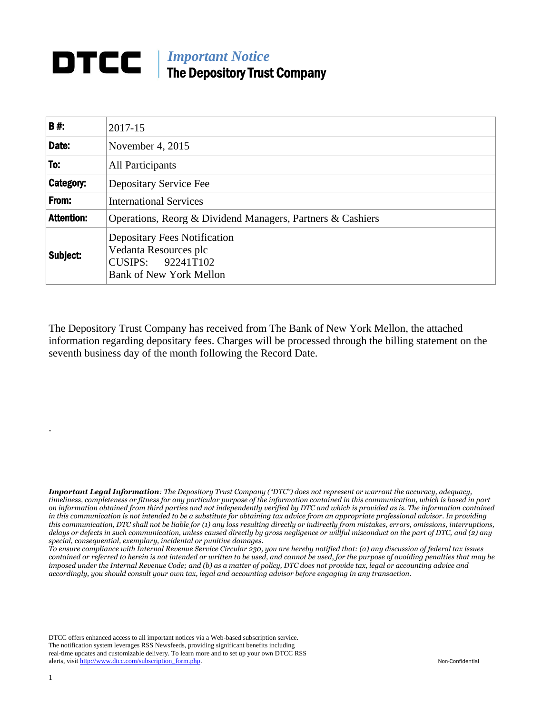## *Important Notice* The Depository Trust Company

| <b>B#:</b>        | 2017-15                                                                                                             |
|-------------------|---------------------------------------------------------------------------------------------------------------------|
| Date:             | November 4, 2015                                                                                                    |
| To:               | All Participants                                                                                                    |
| Category:         | Depositary Service Fee                                                                                              |
| From:             | <b>International Services</b>                                                                                       |
| <b>Attention:</b> | Operations, Reorg & Dividend Managers, Partners & Cashiers                                                          |
| Subject:          | <b>Depositary Fees Notification</b><br>Vedanta Resources plc<br>CUSIPS: 92241T102<br><b>Bank of New York Mellon</b> |

The Depository Trust Company has received from The Bank of New York Mellon, the attached information regarding depositary fees. Charges will be processed through the billing statement on the seventh business day of the month following the Record Date.

*Important Legal Information: The Depository Trust Company ("DTC") does not represent or warrant the accuracy, adequacy, timeliness, completeness or fitness for any particular purpose of the information contained in this communication, which is based in part on information obtained from third parties and not independently verified by DTC and which is provided as is. The information contained in this communication is not intended to be a substitute for obtaining tax advice from an appropriate professional advisor. In providing this communication, DTC shall not be liable for (1) any loss resulting directly or indirectly from mistakes, errors, omissions, interruptions, delays or defects in such communication, unless caused directly by gross negligence or willful misconduct on the part of DTC, and (2) any special, consequential, exemplary, incidental or punitive damages.*

*To ensure compliance with Internal Revenue Service Circular 230, you are hereby notified that: (a) any discussion of federal tax issues contained or referred to herein is not intended or written to be used, and cannot be used, for the purpose of avoiding penalties that may be imposed under the Internal Revenue Code; and (b) as a matter of policy, DTC does not provide tax, legal or accounting advice and accordingly, you should consult your own tax, legal and accounting advisor before engaging in any transaction.*

DTCC offers enhanced access to all important notices via a Web-based subscription service. The notification system leverages RSS Newsfeeds, providing significant benefits including real-time updates and customizable delivery. To learn more and to set up your own DTCC RSS alerts, visit [http://www.dtcc.com/subscription\\_form.php.](http://www.dtcc.com/subscription_form.php) Non-Confidential

.